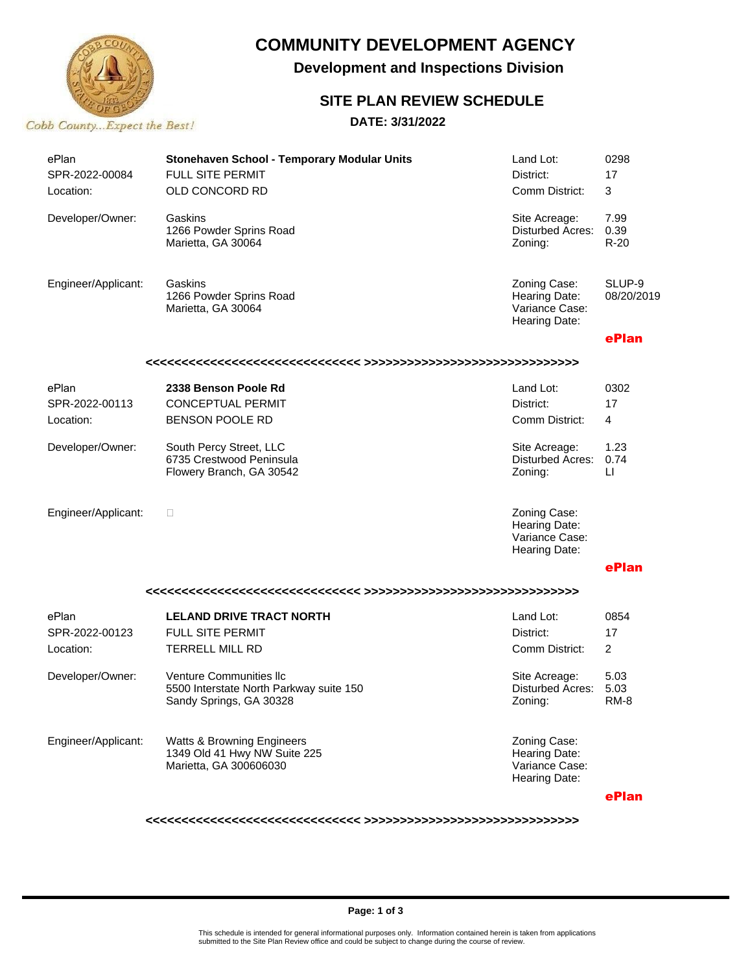

## **COMMUNITY DEVELOPMENT AGENCY**

**Development and Inspections Division**

### **SITE PLAN REVIEW SCHEDULE**

#### **DATE: 3/31/2022**

| ePlan                   | Stonehaven School - Temporary Modular Units   | Land Lot:                          | 0298           |  |  |  |  |
|-------------------------|-----------------------------------------------|------------------------------------|----------------|--|--|--|--|
| SPR-2022-00084          | FULL SITE PERMIT                              | District:                          | 17             |  |  |  |  |
| Location:               | OLD CONCORD RD                                | Comm District:                     | 3              |  |  |  |  |
|                         |                                               |                                    |                |  |  |  |  |
| Developer/Owner:        | Gaskins                                       | Site Acreage:                      | 7.99           |  |  |  |  |
|                         | 1266 Powder Sprins Road<br>Marietta, GA 30064 | <b>Disturbed Acres:</b><br>Zoning: | 0.39<br>$R-20$ |  |  |  |  |
|                         |                                               |                                    |                |  |  |  |  |
|                         |                                               |                                    |                |  |  |  |  |
| Engineer/Applicant:     | Gaskins                                       | Zoning Case:                       | SLUP-9         |  |  |  |  |
|                         | 1266 Powder Sprins Road<br>Marietta, GA 30064 | Hearing Date:<br>Variance Case:    | 08/20/2019     |  |  |  |  |
|                         |                                               | Hearing Date:                      |                |  |  |  |  |
|                         |                                               |                                    | ePlan          |  |  |  |  |
|                         |                                               |                                    |                |  |  |  |  |
|                         | 2338 Benson Poole Rd                          |                                    |                |  |  |  |  |
| ePlan<br>SPR-2022-00113 |                                               | Land Lot:                          | 0302           |  |  |  |  |
|                         | <b>CONCEPTUAL PERMIT</b>                      | District:                          | 17             |  |  |  |  |
| Location:               | <b>BENSON POOLE RD</b>                        | Comm District:                     | 4              |  |  |  |  |
| Developer/Owner:        | South Percy Street, LLC                       | Site Acreage:                      | 1.23           |  |  |  |  |
|                         | 6735 Crestwood Peninsula                      | <b>Disturbed Acres:</b>            | 0.74           |  |  |  |  |
|                         | Flowery Branch, GA 30542                      | Zoning:                            | $\sqcup$       |  |  |  |  |
|                         |                                               |                                    |                |  |  |  |  |
| Engineer/Applicant:     | □                                             | Zoning Case:                       |                |  |  |  |  |
|                         |                                               | Hearing Date:                      |                |  |  |  |  |
|                         |                                               | Variance Case:<br>Hearing Date:    |                |  |  |  |  |
|                         |                                               |                                    | ePlan          |  |  |  |  |
|                         |                                               |                                    |                |  |  |  |  |
|                         |                                               |                                    |                |  |  |  |  |
| ePlan                   | <b>LELAND DRIVE TRACT NORTH</b>               | Land Lot:                          | 0854           |  |  |  |  |
| SPR-2022-00123          | <b>FULL SITE PERMIT</b>                       | District:                          | 17             |  |  |  |  |
| Location:               | <b>TERRELL MILL RD</b>                        | Comm District:                     | $\overline{2}$ |  |  |  |  |
| Developer/Owner:        | <b>Venture Communities Ilc</b>                | Site Acreage:                      | 5.03           |  |  |  |  |
|                         | 5500 Interstate North Parkway suite 150       | Disturbed Acres:                   | 5.03           |  |  |  |  |
|                         | Sandy Springs, GA 30328                       | Zoning:                            | RM-8           |  |  |  |  |
|                         |                                               |                                    |                |  |  |  |  |
| Engineer/Applicant:     | Watts & Browning Engineers                    | Zoning Case:                       |                |  |  |  |  |
|                         | 1349 Old 41 Hwy NW Suite 225                  | Hearing Date:                      |                |  |  |  |  |
|                         | Marietta, GA 300606030                        | Variance Case:<br>Hearing Date:    |                |  |  |  |  |
|                         |                                               |                                    |                |  |  |  |  |
|                         |                                               |                                    | ePlan          |  |  |  |  |

**<<<<<<<<<<<<<<<<<<<<<<<<<<<<<< >>>>>>>>>>>>>>>>>>>>>>>>>>>>>>**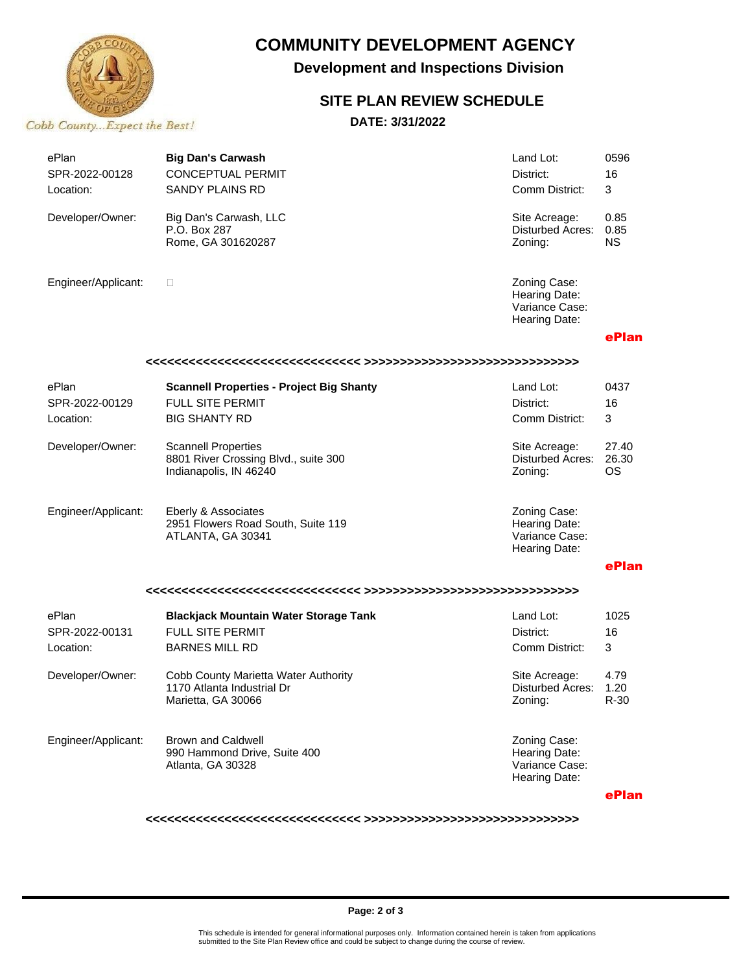

# **COMMUNITY DEVELOPMENT AGENCY**

**Development and Inspections Division**

### **SITE PLAN REVIEW SCHEDULE**

**DATE: 3/31/2022**

| ePlan<br>SPR-2022-00128<br>Location: | <b>Big Dan's Carwash</b><br><b>CONCEPTUAL PERMIT</b><br><b>SANDY PLAINS RD</b>               | Land Lot:<br>District:<br>Comm District:                         | 0596<br>16<br>3           |  |  |  |
|--------------------------------------|----------------------------------------------------------------------------------------------|------------------------------------------------------------------|---------------------------|--|--|--|
| Developer/Owner:                     | Big Dan's Carwash, LLC<br>P.O. Box 287<br>Rome, GA 301620287                                 | Site Acreage:<br>Disturbed Acres:<br>Zoning:                     | 0.85<br>0.85<br><b>NS</b> |  |  |  |
| Engineer/Applicant:                  | □                                                                                            | Zoning Case:<br>Hearing Date:<br>Variance Case:<br>Hearing Date: |                           |  |  |  |
|                                      |                                                                                              |                                                                  | ePlan                     |  |  |  |
|                                      |                                                                                              |                                                                  |                           |  |  |  |
| ePlan                                | <b>Scannell Properties - Project Big Shanty</b>                                              | Land Lot:                                                        | 0437                      |  |  |  |
| SPR-2022-00129                       | FULL SITE PERMIT                                                                             | District:                                                        | 16                        |  |  |  |
| Location:                            | <b>BIG SHANTY RD</b>                                                                         | Comm District:                                                   | 3                         |  |  |  |
| Developer/Owner:                     | <b>Scannell Properties</b><br>8801 River Crossing Blvd., suite 300<br>Indianapolis, IN 46240 | Site Acreage:<br><b>Disturbed Acres:</b><br>Zoning:              | 27.40<br>26.30<br>ОS      |  |  |  |
| Engineer/Applicant:                  | Eberly & Associates<br>2951 Flowers Road South, Suite 119<br>ATLANTA, GA 30341               | Zoning Case:<br>Hearing Date:<br>Variance Case:<br>Hearing Date: |                           |  |  |  |
|                                      |                                                                                              |                                                                  | ePlan                     |  |  |  |
|                                      |                                                                                              |                                                                  |                           |  |  |  |
| ePlan                                | <b>Blackjack Mountain Water Storage Tank</b>                                                 | Land Lot:                                                        | 1025                      |  |  |  |
| SPR-2022-00131                       | FULL SITE PERMIT                                                                             | District:                                                        | 16                        |  |  |  |
| Location:                            | <b>BARNES MILL RD</b>                                                                        | Comm District:                                                   | 3                         |  |  |  |
| Developer/Owner:                     | Cobb County Marietta Water Authority<br>1170 Atlanta Industrial Dr<br>Marietta, GA 30066     | Site Acreage:<br>Disturbed Acres:<br>∠oning:                     | 4.79<br>1.20<br>$R-30$    |  |  |  |
| Engineer/Applicant:                  | <b>Brown and Caldwell</b><br>990 Hammond Drive, Suite 400<br>Atlanta, GA 30328               | Zoning Case:<br>Hearing Date:<br>Variance Case:<br>Hearing Date: | ePlan                     |  |  |  |
|                                      |                                                                                              |                                                                  |                           |  |  |  |

**<<<<<<<<<<<<<<<<<<<<<<<<<<<<<< >>>>>>>>>>>>>>>>>>>>>>>>>>>>>>**

#### **Page: 2 of 3**